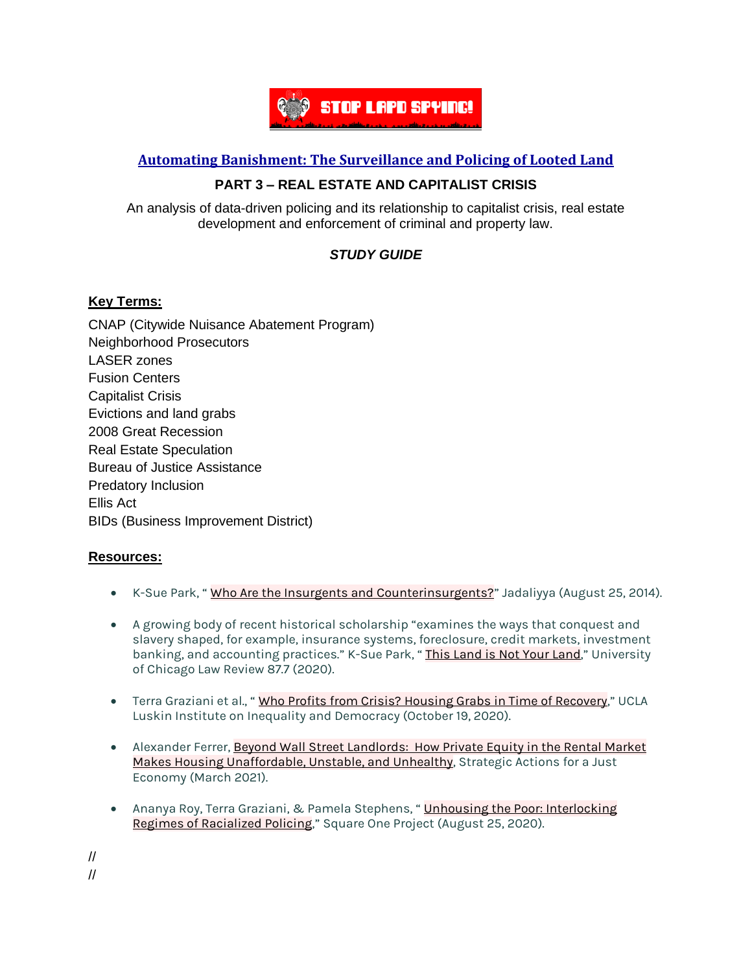

## **Automating [Banishment:](https://automatingbanishment.org/) The Surveillance and Policing of Looted Land**

## **PART 3 – REAL ESTATE AND CAPITALIST CRISIS**

An analysis of data-driven policing and its relationship to capitalist crisis, real estate development and enforcement of criminal and property law.

# *STUDY GUIDE*

#### **Key Terms:**

CNAP (Citywide Nuisance Abatement Program) Neighborhood Prosecutors LASER zones Fusion Centers Capitalist Crisis Evictions and land grabs 2008 Great Recession Real Estate Speculation Bureau of Justice Assistance Predatory Inclusion Ellis Act BIDs (Business Improvement District)

### **Resources:**

- K-Sue Park, "Who Are the Insurgents and [Counterinsurgents?](https://www.jadaliyya.com/Details/31134/Who-Are-the-Insurgents-and-Counterinsurgents)" Jadaliyya (August 25, 2014).
- A growing body of recent historical scholarship "examines the ways that conquest and slavery shaped, for example, insurance systems, foreclosure, credit markets, investment banking, and accounting practices." K-Sue Park, "This [Land](https://lawreview.uchicago.edu/sites/lawreview.uchicago.edu/files/Park_ThisLand_87UCLR1977.pdf) is Not Your Land," University of Chicago Law Review 87.7 (2020).
- Terra Graziani et al., " Who Profits from Crisis? Housing Grabs in Time of [Recovery](https://escholarship.org/uc/item/5pw706tf)," UCLA Luskin Institute on Inequality and Democracy (October 19, 2020).
- Alexander Ferrer, Beyond Wall Street [Landlords:](https://www.saje.net/wp-content/uploads/2021/03/Final_A-Just-Recovery-Series_Beyond_Wall_Street.pdf) How Private Equity in the Rental Market Makes Housing [Unaffordable,](https://www.saje.net/wp-content/uploads/2021/03/Final_A-Just-Recovery-Series_Beyond_Wall_Street.pdf) Unstable, and Unhealthy, Strategic Actions for a Just Economy (March 2021).
- Ananya Roy, Terra Graziani, & Pamela Stephens, " Unhousing the Poor: [Interlocking](https://squareonejustice.org/wp-content/uploads/2020/08/Ananya-Roy-et-al-Unhousing-the-Poor-1.pdf) Regimes of [Racialized](https://squareonejustice.org/wp-content/uploads/2020/08/Ananya-Roy-et-al-Unhousing-the-Poor-1.pdf) Policing," Square One Project (August 25, 2020).

// //